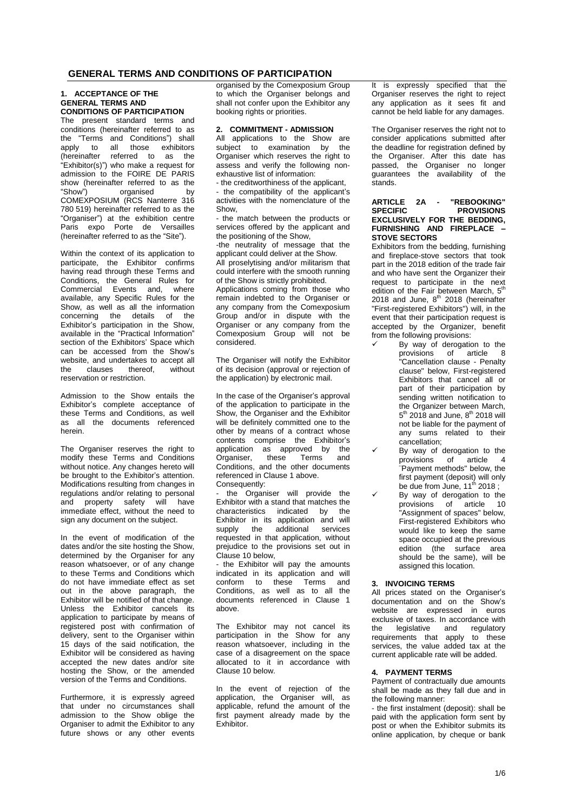## **GENERAL TERMS AND CONDITIONS OF PARTICIPATION**

### **1. ACCEPTANCE OF THE GENERAL TERMS AND CONDITIONS OF PARTICIPATION**

The present standard terms and conditions (hereinafter referred to as the "Terms and Conditions") shall apply to all those exhibitors (hereinafter referred to as the "Exhibitor(s)") who make a request for admission to the FOIRE DE PARIS show (hereinafter referred to as the<br>"Show") organised by organised by COMEXPOSIUM (RCS Nanterre 316 780 519) hereinafter referred to as the "Organiser") at the exhibition centre Paris expo Porte de Versailles (hereinafter referred to as the "Site").

Within the context of its application to participate, the Exhibitor confirms having read through these Terms and Conditions, the General Rules for Commercial Events and, where available, any Specific Rules for the Show, as well as all the information concerning the details of the Exhibitor's participation in the Show, available in the "Practical Information" section of the Exhibitors' Space which can be accessed from the Show's website, and undertakes to accept all<br>the clauses thereof. without thereof. reservation or restriction.

Admission to the Show entails the Exhibitor's complete acceptance of these Terms and Conditions, as well as all the documents referenced herein.

The Organiser reserves the right to modify these Terms and Conditions without notice. Any changes hereto will be brought to the Exhibitor's attention. Modifications resulting from changes in regulations and/or relating to personal and property safety will have immediate effect, without the need to sign any document on the subject.

In the event of modification of the dates and/or the site hosting the Show, determined by the Organiser for any reason whatsoever, or of any change to these Terms and Conditions which do not have immediate effect as set out in the above paragraph, the Exhibitor will be notified of that change. Unless the Exhibitor cancels its application to participate by means of registered post with confirmation of delivery, sent to the Organiser within 15 days of the said notification, the Exhibitor will be considered as having accepted the new dates and/or site hosting the Show, or the amended version of the Terms and Conditions.

Furthermore, it is expressly agreed that under no circumstances shall admission to the Show oblige the Organiser to admit the Exhibitor to any future shows or any other events organised by the Comexposium Group to which the Organiser belongs and shall not confer upon the Exhibitor any booking rights or priorities.

## **2. COMMITMENT - ADMISSION**

All applications to the Show are subject to examination by the Organiser which reserves the right to assess and verify the following nonexhaustive list of information:

- the creditworthiness of the applicant, - the compatibility of the applicant's activities with the nomenclature of the Show,

the match between the products or services offered by the applicant and the positioning of the Show,

-the neutrality of message that the applicant could deliver at the Show. All proselytising and/or militarism that could interfere with the smooth running

of the Show is strictly prohibited. Applications coming from those who remain indebted to the Organiser or any company from the Comexposium Group and/or in dispute with the Organiser or any company from the Comexposium Group will not be considered.

The Organiser will notify the Exhibitor of its decision (approval or rejection of the application) by electronic mail.

In the case of the Organiser's approval of the application to participate in the Show, the Organiser and the Exhibitor will be definitely committed one to the other by means of a contract whose contents comprise the Exhibitor's application as approved by the<br>Organiser, these Terms and Organiser, Conditions, and the other documents referenced in Clause 1 above. Consequently:

- the Organiser will provide the Exhibitor with a stand that matches the characteristics indicated by the Exhibitor in its application and will supply the additional services requested in that application, without prejudice to the provisions set out in Clause 10 below,

the Exhibitor will pay the amounts indicated in its application and will conform to these Terms and Conditions, as well as to all the documents referenced in Clause 1 above.

The Exhibitor may not cancel its participation in the Show for any reason whatsoever, including in the case of a disagreement on the space allocated to it in accordance with Clause 10 below.

In the event of rejection of the application, the Organiser will, as applicable, refund the amount of the first payment already made by the Exhibitor.

It is expressly specified that the Organiser reserves the right to reject any application as it sees fit and cannot be held liable for any damages.

The Organiser reserves the right not to consider applications submitted after the deadline for registration defined by the Organiser. After this date has passed, the Organiser no longer guarantees the availability of the stands.

### **ARTICLE 2A - "REBOOKING" SPECIFIC PROVISIONS EXCLUSIVELY FOR THE BEDDING, FURNISHING AND FIREPLACE – STOVE SECTORS**

Exhibitors from the bedding, furnishing and fireplace-stove sectors that took part in the 2018 edition of the trade fair and who have sent the Organizer their request to participate in the next edition of the Fair between March,  $5<sup>th</sup>$ 2018 and June, 8<sup>th</sup> 2018 (hereinafter "First-registered Exhibitors") will, in the event that their participation request is accepted by the Organizer, benefit from the following provisions:

- By way of derogation to the provisions of article 8 "Cancellation clause - Penalty clause" below, First-registered Exhibitors that cancel all or part of their participation by sending written notification to the Organizer between March, 5<sup>th</sup> 2018 and June, 8<sup>th</sup> 2018 will not be liable for the payment of any sums related to their cancellation;
- By way of derogation to the provisions of  $\overline{a}$  article 4 provisions of article 4 ¨Payment methods" below, the first payment (deposit) will only<br>be due from June, 11<sup>th</sup> 2018;
- By way of derogation to the provisions of article 10 "Assignment of spaces" below, First-registered Exhibitors who would like to keep the same space occupied at the previous edition (the surface area should be the same), will be assigned this location.

## **3. INVOICING TERMS**

All prices stated on the Organiser's documentation and on the Show's website are expressed in euros exclusive of taxes. In accordance with the legislative and regulatory requirements that apply to these services, the value added tax at the current applicable rate will be added.

## **4. PAYMENT TERMS**

Payment of contractually due amounts shall be made as they fall due and in the following manner:

- the first instalment (deposit): shall be paid with the application form sent by post or when the Exhibitor submits its online application, by cheque or bank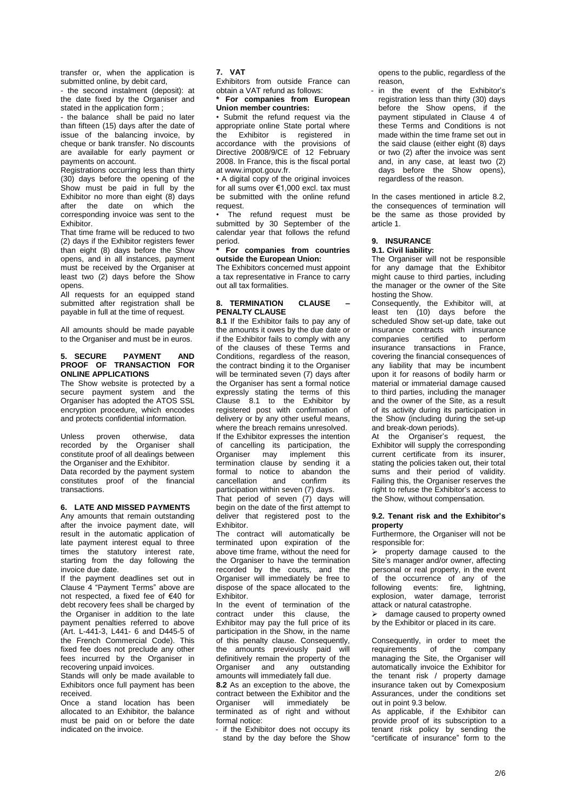transfer or, when the application is submitted online, by debit card.

- the second instalment (deposit): at the date fixed by the Organiser and stated in the application form ;

- the balance shall be paid no later than fifteen (15) days after the date of issue of the balancing invoice, by cheque or bank transfer. No discounts are available for early payment or payments on account.

Registrations occurring less than thirty (30) days before the opening of the Show must be paid in full by the Exhibitor no more than eight (8) days after the date on which the corresponding invoice was sent to the Exhibitor.

That time frame will be reduced to two (2) days if the Exhibitor registers fewer than eight (8) days before the Show opens, and in all instances, payment must be received by the Organiser at least two (2) days before the Show opens.

All requests for an equipped stand submitted after registration shall be payable in full at the time of request.

All amounts should be made payable to the Organiser and must be in euros.

#### **5. SECURE PAYMENT AND PROOF OF TRANSACTION FOR ONLINE APPLICATIONS**

The Show website is protected by a secure payment system and the Organiser has adopted the ATOS SSL encryption procedure, which encodes and protects confidential information.

Unless proven otherwise, data recorded by the Organiser shall constitute proof of all dealings between the Organiser and the Exhibitor. Data recorded by the payment system constitutes proof of the financial transactions.

## **6. LATE AND MISSED PAYMENTS**

Any amounts that remain outstanding after the invoice payment date, will result in the automatic application of late payment interest equal to three times the statutory interest rate, starting from the day following the invoice due date.

If the payment deadlines set out in Clause 4 "Payment Terms" above are not respected, a fixed fee of €40 for debt recovery fees shall be charged by the Organiser in addition to the late payment penalties referred to above (Art. L-441-3, L441- 6 and D445-5 of the French Commercial Code). This fixed fee does not preclude any other fees incurred by the Organiser in recovering unpaid invoices.

Stands will only be made available to Exhibitors once full payment has been received.

Once a stand location has been allocated to an Exhibitor, the balance must be paid on or before the date indicated on the invoice.

#### **7. VAT**

Exhibitors from outside France can obtain a VAT refund as follows:

**\* For companies from European Union member countries:**

• Submit the refund request via the appropriate online State portal where the Exhibitor is registered in accordance with the provisions of Directive 2008/9/CE of 12 February 2008. In France, this is the fiscal portal at www.impot.gouv.fr.

• A digital copy of the original invoices for all sums over €1,000 excl. tax must be submitted with the online refund request.

The refund request must be submitted by 30 September of the calendar year that follows the refund period.

### **\* For companies from countries outside the European Union:**

The Exhibitors concerned must appoint a tax representative in France to carry out all tax formalities.

#### **8. TERMINATION CLAUSE – PENALTY CLAUSE**

**8.1** If the Exhibitor fails to pay any of the amounts it owes by the due date or if the Exhibitor fails to comply with any of the clauses of these Terms and Conditions, regardless of the reason, the contract binding it to the Organiser will be terminated seven (7) days after the Organiser has sent a formal notice expressly stating the terms of this Clause 8.1 to the Exhibitor by registered post with confirmation of delivery or by any other useful means, where the breach remains unresolved. If the Exhibitor expresses the intention of cancelling its participation, the Organiser may implement this termination clause by sending it a formal to notice to abandon the cancellation and confirm its participation within seven (7) days.

That period of seven (7) days will begin on the date of the first attempt to deliver that registered post to the Exhibitor.

The contract will automatically be terminated upon expiration of the above time frame, without the need for the Organiser to have the termination recorded by the courts, and the Organiser will immediately be free to dispose of the space allocated to the Exhibitor.

In the event of termination of the contract under this clause, the Exhibitor may pay the full price of its participation in the Show, in the name of this penalty clause. Consequently, the amounts previously paid will definitively remain the property of the Organiser and any outstanding amounts will immediately fall due.

**8.2** As an exception to the above, the contract between the Exhibitor and the Organiser will immediately be terminated as of right and without formal notice:

- if the Exhibitor does not occupy its stand by the day before the Show opens to the public, regardless of the reason,

- in the event of the Exhibitor's registration less than thirty (30) days before the Show opens, if the payment stipulated in Clause 4 of these Terms and Conditions is not made within the time frame set out in the said clause (either eight (8) days or two (2) after the invoice was sent and, in any case, at least two (2) days before the Show opens), regardless of the reason.

In the cases mentioned in article 8.2, the consequences of termination will be the same as those provided by article 1.

## **9. INSURANCE**

## **9.1. Civil liability:**

The Organiser will not be responsible for any damage that the Exhibitor might cause to third parties, including the manager or the owner of the Site hosting the Show.

Consequently, the Exhibitor will, at least ten (10) days before the scheduled Show set-up date, take out insurance contracts with insurance companies certified to perform insurance transactions in France, covering the financial consequences of any liability that may be incumbent upon it for reasons of bodily harm or material or immaterial damage caused to third parties, including the manager and the owner of the Site, as a result of its activity during its participation in the Show (including during the set-up and break-down periods).

At the Organiser's request, the Exhibitor will supply the corresponding current certificate from its insurer, stating the policies taken out, their total sums and their period of validity. Failing this, the Organiser reserves the right to refuse the Exhibitor's access to the Show, without compensation.

#### **9.2. Tenant risk and the Exhibitor's property**

Furthermore, the Organiser will not be responsible for:

 property damage caused to the Site's manager and/or owner, affecting personal or real property, in the event of the occurrence of any of the following events: fire, lightning, explosion, water damage, terrorist attack or natural catastrophe.

 $\triangleright$  damage caused to property owned by the Exhibitor or placed in its care.

Consequently, in order to meet the<br>requirements of the company of the company managing the Site, the Organiser will automatically invoice the Exhibitor for the tenant risk / property damage insurance taken out by Comexposium Assurances, under the conditions set out in point 9.3 below.

As applicable, if the Exhibitor can provide proof of its subscription to a tenant risk policy by sending the "certificate of insurance" form to the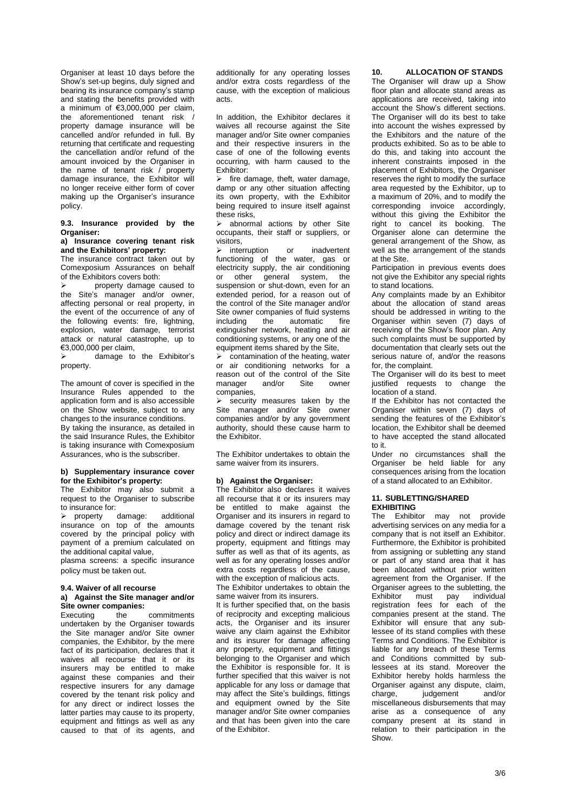Organiser at least 10 days before the Show's set-up begins, duly signed and bearing its insurance company's stamp and stating the benefits provided with a minimum of €3,000,000 per claim, the aforementioned tenant risk / property damage insurance will be cancelled and/or refunded in full. By returning that certificate and requesting the cancellation and/or refund of the amount invoiced by the Organiser in the name of tenant risk / property damage insurance, the Exhibitor will no longer receive either form of cover making up the Organiser's insurance policy.

## **9.3. Insurance provided by the Organiser:**

### **a) Insurance covering tenant risk and the Exhibitors' property:**

The insurance contract taken out by Comexposium Assurances on behalf of the Exhibitors covers both:

 property damage caused to the Site's manager and/or owner, affecting personal or real property, in the event of the occurrence of any of the following events: fire, lightning, explosion, water damage, terrorist attack or natural catastrophe, up to €3,000,000 per claim,

 damage to the Exhibitor's property.

The amount of cover is specified in the Insurance Rules appended to the application form and is also accessible on the Show website, subject to any changes to the insurance conditions. By taking the insurance, as detailed in the said Insurance Rules, the Exhibitor is taking insurance with Comexposium Assurances, who is the subscriber.

### **b) Supplementary insurance cover for the Exhibitor's property:**

The Exhibitor may also submit a request to the Organiser to subscribe to insurance for:

> property damage: additional insurance on top of the amounts covered by the principal policy with payment of a premium calculated on the additional capital value,

plasma screens: a specific insurance policy must be taken out.

# **9.4. Waiver of all recourse**

# **a) Against the Site manager and/or Site owner companies:**<br>Executing the

commitments undertaken by the Organiser towards the Site manager and/or Site owner companies, the Exhibitor, by the mere fact of its participation, declares that it waives all recourse that it or its insurers may be entitled to make against these companies and their respective insurers for any damage covered by the tenant risk policy and for any direct or indirect losses the latter parties may cause to its property, equipment and fittings as well as any caused to that of its agents, and

additionally for any operating losses and/or extra costs regardless of the cause, with the exception of malicious acts.

In addition, the Exhibitor declares it waives all recourse against the Site manager and/or Site owner companies and their respective insurers in the case of one of the following events occurring, with harm caused to the Exhibitor:

 fire damage, theft, water damage, damp or any other situation affecting its own property, with the Exhibitor being required to insure itself against these risks,

> abnormal actions by other Site occupants, their staff or suppliers, or visitors,

> interruption or inadvertent functioning of the water, gas or electricity supply, the air conditioning or other general system, the suspension or shut-down, even for an extended period, for a reason out of the control of the Site manager and/or Site owner companies of fluid systems including the automatic fire extinguisher network, heating and air conditioning systems, or any one of the equipment items shared by the Site,

 $\triangleright$  contamination of the heating, water or air conditioning networks for a reason out of the control of the Site manager and/or Site owner companies,

security measures taken by the Site manager and/or Site owner companies and/or by any government authority, should these cause harm to the Exhibitor.

The Exhibitor undertakes to obtain the same waiver from its insurers.

## **b) Against the Organiser:**

The Exhibitor also declares it waives all recourse that it or its insurers may be entitled to make against the Organiser and its insurers in regard to damage covered by the tenant risk policy and direct or indirect damage its property, equipment and fittings may suffer as well as that of its agents, as well as for any operating losses and/or extra costs regardless of the cause. with the exception of malicious acts.

The Exhibitor undertakes to obtain the same waiver from its insurers.

It is further specified that, on the basis of reciprocity and excepting malicious acts, the Organiser and its insurer waive any claim against the Exhibitor and its insurer for damage affecting any property, equipment and fittings belonging to the Organiser and which the Exhibitor is responsible for. It is further specified that this waiver is not applicable for any loss or damage that may affect the Site's buildings, fittings and equipment owned by the Site manager and/or Site owner companies and that has been given into the care of the Exhibitor.

## **10. ALLOCATION OF STANDS**

The Organiser will draw up a Show floor plan and allocate stand areas as applications are received, taking into account the Show's different sections. The Organiser will do its best to take into account the wishes expressed by the Exhibitors and the nature of the products exhibited. So as to be able to do this, and taking into account the inherent constraints imposed in the placement of Exhibitors, the Organiser reserves the right to modify the surface area requested by the Exhibitor, up to a maximum of 20%, and to modify the corresponding invoice accordingly, without this giving the Exhibitor the right to cancel its booking. The Organiser alone can determine the general arrangement of the Show, as well as the arrangement of the stands at the Site.

Participation in previous events does not give the Exhibitor any special rights to stand locations.

Any complaints made by an Exhibitor about the allocation of stand areas should be addressed in writing to the Organiser within seven (7) days of receiving of the Show's floor plan. Any such complaints must be supported by documentation that clearly sets out the serious nature of, and/or the reasons for, the complaint.

The Organiser will do its best to meet justified requests to change the location of a stand.

If the Exhibitor has not contacted the Organiser within seven (7) days of sending the features of the Exhibitor's location, the Exhibitor shall be deemed to have accepted the stand allocated to it.

Under no circumstances shall the Organiser be held liable for any consequences arising from the location of a stand allocated to an Exhibitor.

### **11. SUBLETTING/SHARED EXHIBITING**

The Exhibitor may not provide advertising services on any media for a company that is not itself an Exhibitor. Furthermore, the Exhibitor is prohibited from assigning or subletting any stand or part of any stand area that it has been allocated without prior written agreement from the Organiser. If the Organiser agrees to the subletting, the<br>Exhibitor must pay individual individual registration fees for each of the companies present at the stand. The Exhibitor will ensure that any sublessee of its stand complies with these Terms and Conditions. The Exhibitor is liable for any breach of these Terms and Conditions committed by sublessees at its stand. Moreover the Exhibitor hereby holds harmless the Organiser against any dispute, claim,<br>charge iudgement and/or iudgement miscellaneous disbursements that may arise as a consequence of any company present at its stand in relation to their participation in the Show.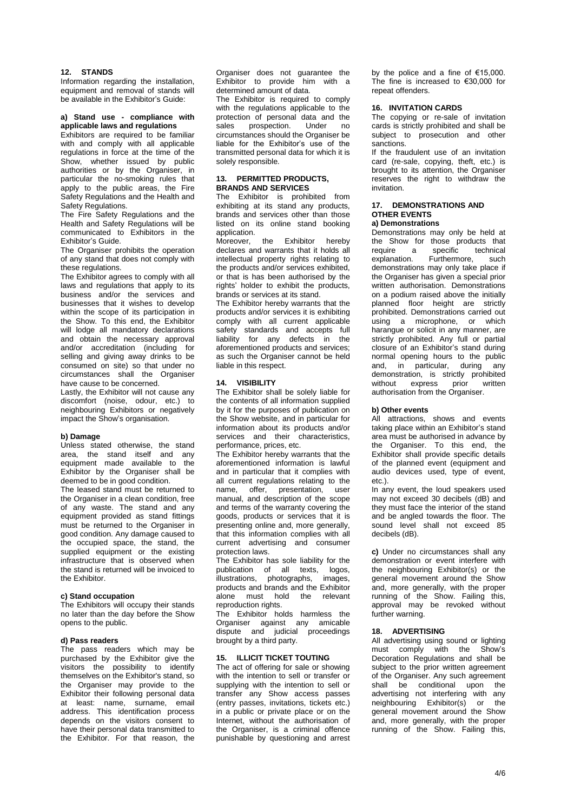### **12. STANDS**

Information regarding the installation, equipment and removal of stands will be available in the Exhibitor's Guide:

### **a) Stand use - compliance with applicable laws and regulations**

Exhibitors are required to be familiar with and comply with all applicable regulations in force at the time of the Show, whether issued by public authorities or by the Organiser, in particular the no-smoking rules that apply to the public areas, the Fire Safety Regulations and the Health and Safety Regulations.

The Fire Safety Regulations and the Health and Safety Regulations will be communicated to Exhibitors in the Exhibitor's Guide.

The Organiser prohibits the operation of any stand that does not comply with these regulations.

The Exhibitor agrees to comply with all laws and regulations that apply to its business and/or the services and businesses that it wishes to develop within the scope of its participation in the Show. To this end, the Exhibitor will lodge all mandatory declarations and obtain the necessary approval and/or accreditation (including for selling and giving away drinks to be consumed on site) so that under no circumstances shall the Organiser have cause to be concerned.

Lastly, the Exhibitor will not cause any discomfort (noise, odour, etc.) to neighbouring Exhibitors or negatively impact the Show's organisation.

## **b) Damage**

Unless stated otherwise, the stand area, the stand itself and any equipment made available to the Exhibitor by the Organiser shall be deemed to be in good condition.

The leased stand must be returned to the Organiser in a clean condition, free of any waste. The stand and any equipment provided as stand fittings must be returned to the Organiser in good condition. Any damage caused to the occupied space, the stand, the supplied equipment or the existing infrastructure that is observed when the stand is returned will be invoiced to the Exhibitor.

### **c) Stand occupation**

The Exhibitors will occupy their stands no later than the day before the Show opens to the public.

### **d) Pass readers**

The pass readers which may be purchased by the Exhibitor give the visitors the possibility to identify themselves on the Exhibitor's stand, so the Organiser may provide to the Exhibitor their following personal data at least: name, surname, email address. This identification process depends on the visitors consent to have their personal data transmitted to the Exhibitor. For that reason, the

Organiser does not guarantee the Exhibitor to provide him with a determined amount of data.

The Exhibitor is required to comply with the regulations applicable to the protection of personal data and the<br>sales prospection. Under no sales prospection. circumstances should the Organiser be liable for the Exhibitor's use of the transmitted personal data for which it is solely responsible.

### **13. PERMITTED PRODUCTS, BRANDS AND SERVICES**

The Exhibitor is prohibited from exhibiting at its stand any products, brands and services other than those listed on its online stand booking application.<br>Moreover.

the Exhibitor hereby declares and warrants that it holds all intellectual property rights relating to the products and/or services exhibited, or that is has been authorised by the rights' holder to exhibit the products, brands or services at its stand.

The Exhibitor hereby warrants that the products and/or services it is exhibiting comply with all current applicable safety standards and accepts full liability for any defects in the aforementioned products and services; as such the Organiser cannot be held liable in this respect.

#### **14. VISIBILITY**

The Exhibitor shall be solely liable for the contents of all information supplied by it for the purposes of publication on the Show website, and in particular for information about its products and/or services and their characteristics. performance, prices, etc.

The Exhibitor hereby warrants that the aforementioned information is lawful and in particular that it complies with all current regulations relating to the name, offer, presentation, user manual, and description of the scope and terms of the warranty covering the goods, products or services that it is presenting online and, more generally, that this information complies with all current advertising and consumer protection laws.

.<br>The Exhibitor has sole liability for the publication of all texts, logos, illustrations, photographs, images, products and brands and the Exhibitor alone must hold the relevant reproduction rights.

The Exhibitor holds harmless the Organiser against any amicable dispute and judicial proceedings brought by a third party.

### **15. ILLICIT TICKET TOUTING**

The act of offering for sale or showing with the intention to sell or transfer or supplying with the intention to sell or transfer any Show access passes (entry passes, invitations, tickets etc.) in a public or private place or on the Internet, without the authorisation of the Organiser, is a criminal offence punishable by questioning and arrest by the police and a fine of €15,000. The fine is increased to €30,000 for repeat offenders.

#### **16. INVITATION CARDS**

The copying or re-sale of invitation cards is strictly prohibited and shall be subject to prosecution and other sanctions.

If the fraudulent use of an invitation card (re-sale, copying, theft, etc.) is brought to its attention, the Organiser reserves the right to withdraw the invitation.

## **17. DEMONSTRATIONS AND OTHER EVENTS**

## **a) Demonstrations**

Demonstrations may only be held at the Show for those products that<br>require a specific technical require a specific explanation. Furthermore, such demonstrations may only take place if the Organiser has given a special prior written authorisation. Demonstrations on a podium raised above the initially planned floor height are strictly prohibited. Demonstrations carried out using a microphone, or which harangue or solicit in any manner, are strictly prohibited. Any full or partial closure of an Exhibitor's stand during normal opening hours to the public and, in particular, during any demonstration, is strictly prohibited without express prior written authorisation from the Organiser.

#### **b) Other events**

All attractions, shows and events taking place within an Exhibitor's stand area must be authorised in advance by the Organiser. To this end, the Exhibitor shall provide specific details of the planned event (equipment and audio devices used, type of event, etc.).

In any event, the loud speakers used may not exceed 30 decibels (dB) and they must face the interior of the stand and be angled towards the floor. The sound level shall not exceed 85 decibels (dB).

**c)** Under no circumstances shall any demonstration or event interfere with the neighbouring Exhibitor(s) or the general movement around the Show and, more generally, with the proper running of the Show. Failing this, approval may be revoked without further warning.

## **18. ADVERTISING**

All advertising using sound or lighting must comply with the Show's Decoration Regulations and shall be subject to the prior written agreement of the Organiser. Any such agreement shall be conditional upon the advertising not interfering with any neighbouring Exhibitor(s) or the general movement around the Show and, more generally, with the proper running of the Show. Failing this,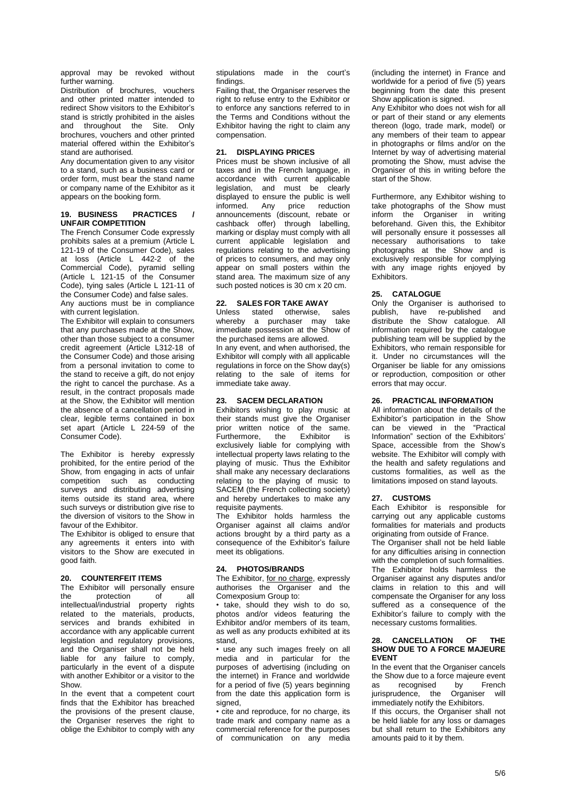approval may be revoked without further warning.

Distribution of brochures, vouchers and other printed matter intended to redirect Show visitors to the Exhibitor's stand is strictly prohibited in the aisles and throughout the Site. Only brochures, vouchers and other printed material offered within the Exhibitor's stand are authorised.

Any documentation given to any visitor to a stand, such as a business card or order form, must bear the stand name or company name of the Exhibitor as it appears on the booking form.

## **19. BUSINESS PRACTICES / UNFAIR COMPETITION**

The French Consumer Code expressly prohibits sales at a premium (Article L 121-19 of the Consumer Code), sales at loss (Article L 442-2 of the Commercial Code), pyramid selling (Article L 121-15 of the Consumer Code), tying sales (Article L 121-11 of the Consumer Code) and false sales.

Any auctions must be in compliance with current legislation.

The Exhibitor will explain to consumers that any purchases made at the Show, other than those subject to a consumer credit agreement (Article L312-18 of the Consumer Code) and those arising from a personal invitation to come to the stand to receive a gift, do not enjoy the right to cancel the purchase. As a result, in the contract proposals made at the Show, the Exhibitor will mention the absence of a cancellation period in clear, legible terms contained in box set apart (Article L 224-59 of the Consumer Code).

The Exhibitor is hereby expressly prohibited, for the entire period of the Show, from engaging in acts of unfair competition such as conducting surveys and distributing advertising items outside its stand area, where such surveys or distribution give rise to the diversion of visitors to the Show in favour of the Exhibitor.

The Exhibitor is obliged to ensure that any agreements it enters into with visitors to the Show are executed in good faith.

## **20. COUNTERFEIT ITEMS**

The Exhibitor will personally ensure<br>the protection of all protection intellectual/industrial property rights related to the materials, products, services and brands exhibited in accordance with any applicable current legislation and regulatory provisions, and the Organiser shall not be held liable for any failure to comply, particularly in the event of a dispute with another Exhibitor or a visitor to the Show.

In the event that a competent court finds that the Exhibitor has breached the provisions of the present clause, the Organiser reserves the right to oblige the Exhibitor to comply with any

stipulations made in the court's findings.

Failing that, the Organiser reserves the right to refuse entry to the Exhibitor or to enforce any sanctions referred to in the Terms and Conditions without the Exhibitor having the right to claim any compensation.

## **21. DISPLAYING PRICES**

Prices must be shown inclusive of all taxes and in the French language, in accordance with current applicable legislation, and must be clearly displayed to ensure the public is well<br>informed. Any price reduction price reduction announcements (discount, rebate or cashback offer) through labelling, marking or display must comply with all current applicable legislation and regulations relating to the advertising of prices to consumers, and may only appear on small posters within the stand area. The maximum size of any such posted notices is 30 cm x 20 cm.

## **22. SALES FOR TAKE AWAY**

Unless stated otherwise, sales whereby a purchaser may take immediate possession at the Show of the purchased items are allowed. In any event, and when authorised, the Exhibitor will comply with all applicable regulations in force on the Show day(s) relating to the sale of items for immediate take away.

## **23. SACEM DECLARATION**

Exhibitors wishing to play music at their stands must give the Organiser prior written notice of the same.<br>Furthermore. the Exhibitor is the Exhibitor is exclusively liable for complying with intellectual property laws relating to the playing of music. Thus the Exhibitor shall make any necessary declarations relating to the playing of music to SACEM (the French collecting society) and hereby undertakes to make any requisite payments.

The Exhibitor holds harmless the Organiser against all claims and/or actions brought by a third party as a consequence of the Exhibitor's failure meet its obligations.

## **24. PHOTOS/BRANDS**

The Exhibitor, for no charge, expressly authorises the Organiser and the Comexposium Group to:

• take, should they wish to do so, photos and/or videos featuring the Exhibitor and/or members of its team, as well as any products exhibited at its stand,

• use any such images freely on all media and in particular for the purposes of advertising (including on the internet) in France and worldwide for a period of five (5) years beginning from the date this application form is signed,

• cite and reproduce, for no charge, its trade mark and company name as a commercial reference for the purposes of communication on any media (including the internet) in France and worldwide for a period of five (5) years beginning from the date this present Show application is signed.

Any Exhibitor who does not wish for all or part of their stand or any elements thereon (logo, trade mark, model) or any members of their team to appear in photographs or films and/or on the Internet by way of advertising material promoting the Show, must advise the Organiser of this in writing before the start of the Show.

Furthermore, any Exhibitor wishing to take photographs of the Show must inform the Organiser in writing beforehand. Given this, the Exhibitor will personally ensure it possesses all necessary authorisations to take photographs at the Show and is exclusively responsible for complying with any image rights enjoyed by Exhibitors.

## **25. CATALOGUE**

Only the Organiser is authorised to publish, have re-published and distribute the Show catalogue. All information required by the catalogue publishing team will be supplied by the Exhibitors, who remain responsible for it. Under no circumstances will the Organiser be liable for any omissions or reproduction, composition or other errors that may occur.

## **26. PRACTICAL INFORMATION**

All information about the details of the Exhibitor's participation in the Show can be viewed in the "Practical Information" section of the Exhibitors' Space, accessible from the Show's website. The Exhibitor will comply with the health and safety regulations and customs formalities, as well as the limitations imposed on stand layouts.

## **27. CUSTOMS**

Each Exhibitor is responsible for carrying out any applicable customs formalities for materials and products originating from outside of France.

The Organiser shall not be held liable for any difficulties arising in connection with the completion of such formalities. The Exhibitor holds harmless the Organiser against any disputes and/or claims in relation to this and will compensate the Organiser for any loss suffered as a consequence of the Exhibitor's failure to comply with the necessary customs formalities.

#### **28. CANCELLATION OF THE SHOW DUE TO A FORCE MAJEURE EVENT**

In the event that the Organiser cancels the Show due to a force majeure event as recognised by French<br>iurisprudence the Organiser will  $i$ urisprudence, the Organiser immediately notify the Exhibitors.

If this occurs, the Organiser shall not be held liable for any loss or damages but shall return to the Exhibitors any amounts paid to it by them.